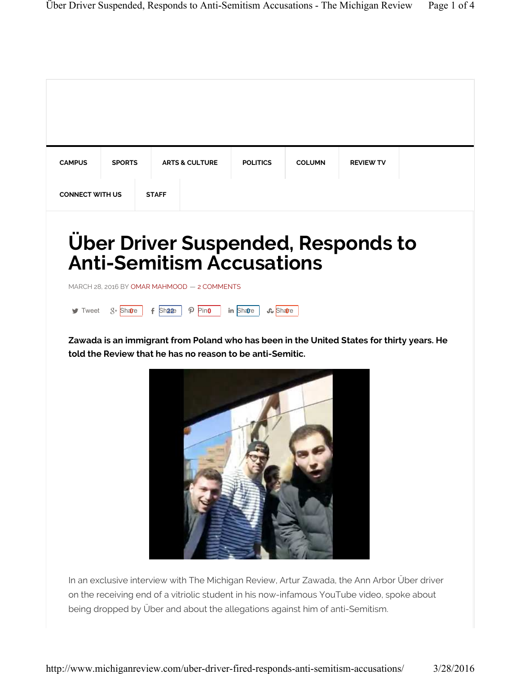| <b>CAMPUS</b>               | <b>SPORTS</b> | <b>ARTS &amp; CULTURE</b>                                                                                                                                                                                                                                | <b>POLITICS</b>          | <b>COLUMN</b> | <b>REVIEW TV</b> |  |
|-----------------------------|---------------|----------------------------------------------------------------------------------------------------------------------------------------------------------------------------------------------------------------------------------------------------------|--------------------------|---------------|------------------|--|
| <b>CONNECT WITH US</b>      |               | <b>STAFF</b>                                                                                                                                                                                                                                             |                          |               |                  |  |
| $\blacktriangleright$ Tweet | $2 +$ Shange  | <b>Uber Driver Suspended, Responds to</b><br><b>Anti-Semitism Accusations</b><br>MARCH 28, 2016 BY OMAR MAHMOOD - 2 COMMENTS<br>$\varphi$ Pino<br>$f$ Shape<br>Zawada is an immigrant from Poland who has been in the United States for thirty years. He | <b>Share</b><br>in Share |               |                  |  |
|                             |               | told the Review that he has no reason to be anti-Semitic.                                                                                                                                                                                                |                          |               |                  |  |

being dropped by Über and about the allegations against him of anti-Semitism.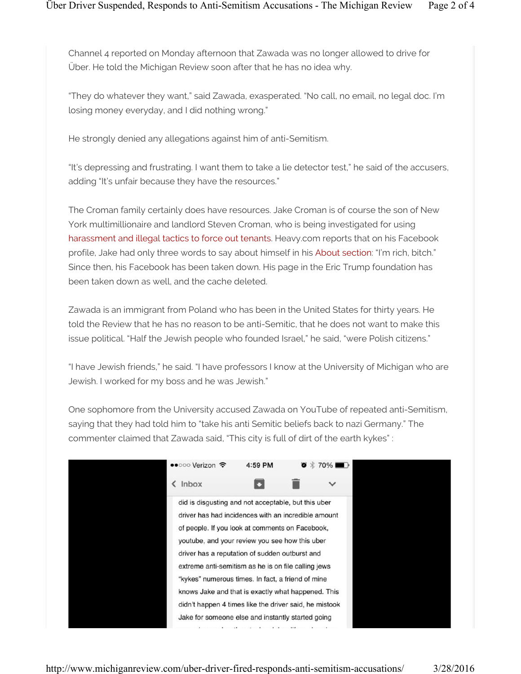Channel 4 reported on Monday afternoon that Zawada was no longer allowed to drive for Über. He told the Michigan Review soon after that he has no idea why.

"They do whatever they want," said Zawada, exasperated. "No call, no email, no legal doc. I'm losing money everyday, and I did nothing wrong."

He strongly denied any allegations against him of anti-Semitism.

"It's depressing and frustrating. I want them to take a lie detector test," he said of the accusers, adding "It's unfair because they have the resources."

The Croman family certainly does have resources. Jake Croman is of course the son of New York multimillionaire and landlord Steven Croman, who is being investigated for using harassment and illegal tactics to force out tenants. Heavy.com reports that on his Facebook profile, Jake had only three words to say about himself in his About section: "I'm rich, bitch." Since then, his Facebook has been taken down. His page in the Eric Trump foundation has been taken down as well, and the cache deleted.

Zawada is an immigrant from Poland who has been in the United States for thirty years. He told the Review that he has no reason to be anti-Semitic, that he does not want to make this issue political. "Half the Jewish people who founded Israel," he said, "were Polish citizens."

"I have Jewish friends," he said. "I have professors I know at the University of Michigan who are Jewish. I worked for my boss and he was Jewish."

One sophomore from the University accused Zawada on YouTube of repeated anti-Semitism, saying that they had told him to "take his anti Semitic beliefs back to nazi Germany." The commenter claimed that Zawada said, "This city is full of dirt of the earth kykes" :

| ••○○○ Verizon ←                                                                                                                                                                                                                                                                                                                                                                                                                                                                                                                                    | 4:59 PM | 8 * | $70\%$       |
|----------------------------------------------------------------------------------------------------------------------------------------------------------------------------------------------------------------------------------------------------------------------------------------------------------------------------------------------------------------------------------------------------------------------------------------------------------------------------------------------------------------------------------------------------|---------|-----|--------------|
| $\langle$ Inbox                                                                                                                                                                                                                                                                                                                                                                                                                                                                                                                                    |         |     | $\checkmark$ |
| did is disgusting and not acceptable, but this uber<br>driver has had incidences with an incredible amount<br>of people. If you look at comments on Facebook,<br>youtube, and your review you see how this uber<br>driver has a reputation of sudden outburst and<br>extreme anti-semitism as he is on file calling jews<br>"kykes" numerous times. In fact, a friend of mine<br>knows Jake and that is exactly what happened. This<br>didn't happen 4 times like the driver said, he mistook<br>Jake for someone else and instantly started going |         |     |              |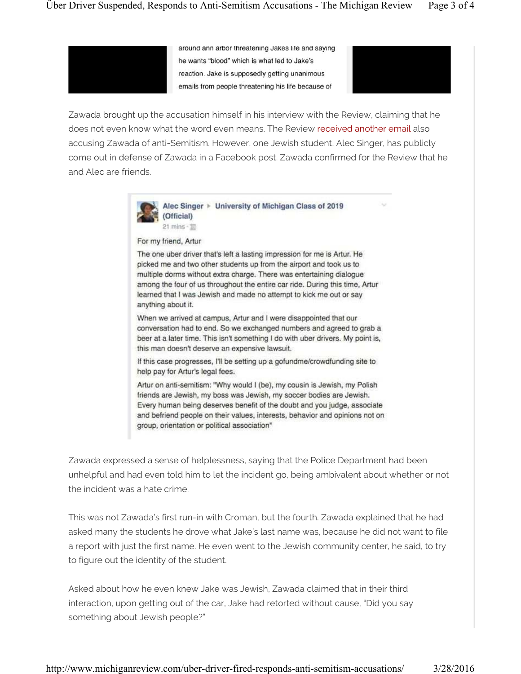around ann arbor threatening Jakes life and saying he wants "blood" which is what led to Jake's reaction. Jake is supposedly getting unanimous emails from people threatening his life because of



Zawada brought up the accusation himself in his interview with the Review, claiming that he does not even know what the word even means. The Review received another email also accusing Zawada of anti-Semitism. However, one Jewish student, Alec Singer, has publicly come out in defense of Zawada in a Facebook post. Zawada confirmed for the Review that he and Alec are friends.



Alec Singer > University of Michigan Class of 2019 (Official)

 $21$  mins  $-12$ 

For my friend, Artur

The one uber driver that's left a lasting impression for me is Artur. He picked me and two other students up from the airport and took us to multiple dorms without extra charge. There was entertaining dialogue among the four of us throughout the entire car ride. During this time, Artur learned that I was Jewish and made no attempt to kick me out or say anything about it.

When we arrived at campus, Artur and I were disappointed that our conversation had to end. So we exchanged numbers and agreed to grab a beer at a later time. This isn't something I do with uber drivers. My point is, this man doesn't deserve an expensive lawsuit.

If this case progresses, I'll be setting up a gofundme/crowdfunding site to help pay for Artur's legal fees.

Artur on anti-semitism: "Why would I (be), my cousin is Jewish, my Polish friends are Jewish, my boss was Jewish, my soccer bodies are Jewish. Every human being deserves benefit of the doubt and you judge, associate and befriend people on their values, interests, behavior and opinions not on group, orientation or political association"

Zawada expressed a sense of helplessness, saying that the Police Department had been unhelpful and had even told him to let the incident go, being ambivalent about whether or not the incident was a hate crime.

This was not Zawada's first run-in with Croman, but the fourth. Zawada explained that he had asked many the students he drove what Jake's last name was, because he did not want to file a report with just the first name. He even went to the Jewish community center, he said, to try to figure out the identity of the student.

Asked about how he even knew Jake was Jewish, Zawada claimed that in their third interaction, upon getting out of the car, Jake had retorted without cause, "Did you say something about Jewish people?"